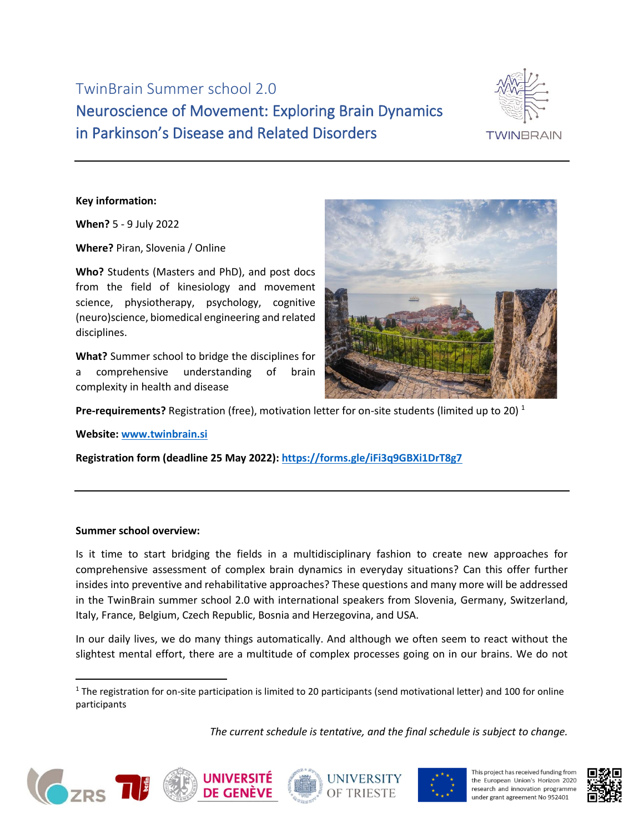TwinBrain Summer school 2.0 Neuroscience of Movement: Exploring Brain Dynamics in Parkinson's Disease and Related Disorders



### **Key information:**

**When?** 5 - 9 July 2022

**Where?** Piran, Slovenia / Online

**Who?** Students (Masters and PhD), and post docs from the field of kinesiology and movement science, physiotherapy, psychology, cognitive (neuro)science, biomedical engineering and related disciplines.

**What?** Summer school to bridge the disciplines for a comprehensive understanding of brain complexity in health and disease



Pre-requirements? Registration (free), motivation letter for on-site students (limited up to 20)<sup>1</sup>

**Website: [www.twinbrain.si](http://www.twinbrain.si/)** 

**Registration form (deadline 25 May 2022):<https://forms.gle/iFi3q9GBXi1DrT8g7>**

#### **Summer school overview:**

Is it time to start bridging the fields in a multidisciplinary fashion to create new approaches for comprehensive assessment of complex brain dynamics in everyday situations? Can this offer further insides into preventive and rehabilitative approaches? These questions and many more will be addressed in the TwinBrain summer school 2.0 with international speakers from Slovenia, Germany, Switzerland, Italy, France, Belgium, Czech Republic, Bosnia and Herzegovina, and USA.

In our daily lives, we do many things automatically. And although we often seem to react without the slightest mental effort, there are a multitude of complex processes going on in our brains. We do not

*The current schedule is tentative, and the final schedule is subject to change.*









This project has received funding from the European Union's Horizon 2020 research and innovation programme under grant agreement No 952401



 $1$  The registration for on-site participation is limited to 20 participants (send motivational letter) and 100 for online participants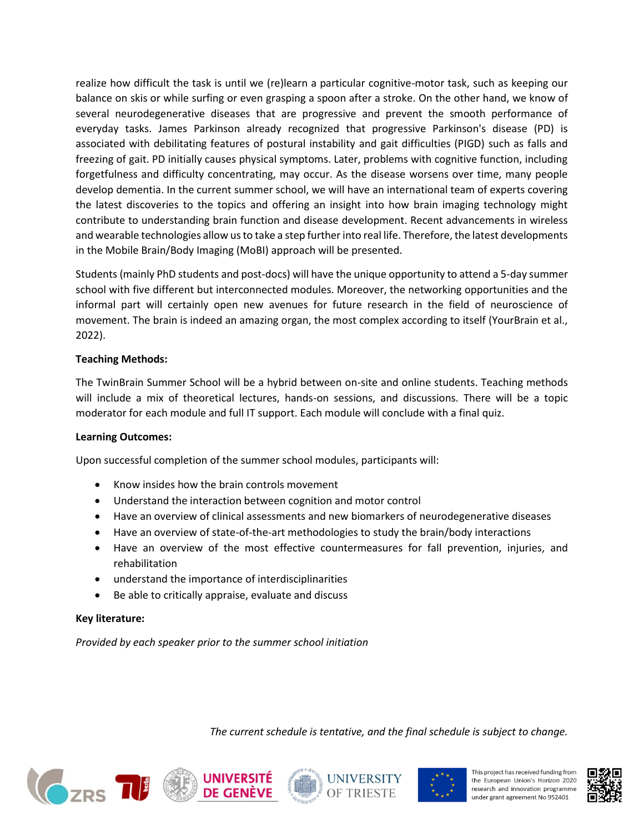realize how difficult the task is until we (re)learn a particular cognitive-motor task, such as keeping our balance on skis or while surfing or even grasping a spoon after a stroke. On the other hand, we know of several neurodegenerative diseases that are progressive and prevent the smooth performance of everyday tasks. James Parkinson already recognized that progressive Parkinson's disease (PD) is associated with debilitating features of postural instability and gait difficulties (PIGD) such as falls and freezing of gait. PD initially causes physical symptoms. Later, problems with cognitive function, including forgetfulness and difficulty concentrating, may occur. As the disease worsens over time, many people develop dementia. In the current summer school, we will have an international team of experts covering the latest discoveries to the topics and offering an insight into how brain imaging technology might contribute to understanding brain function and disease development. Recent advancements in wireless and wearable technologies allow us to take a step further into real life. Therefore, the latest developments in the Mobile Brain/Body Imaging (MoBI) approach will be presented.

Students (mainly PhD students and post-docs) will have the unique opportunity to attend a 5-day summer school with five different but interconnected modules. Moreover, the networking opportunities and the informal part will certainly open new avenues for future research in the field of neuroscience of movement. The brain is indeed an amazing organ, the most complex according to itself (YourBrain et al., 2022).

## **Teaching Methods:**

The TwinBrain Summer School will be a hybrid between on-site and online students. Teaching methods will include a mix of theoretical lectures, hands-on sessions, and discussions. There will be a topic moderator for each module and full IT support. Each module will conclude with a final quiz.

### **Learning Outcomes:**

Upon successful completion of the summer school modules, participants will:

- Know insides how the brain controls movement
- Understand the interaction between cognition and motor control
- Have an overview of clinical assessments and new biomarkers of neurodegenerative diseases
- Have an overview of state-of-the-art methodologies to study the brain/body interactions
- Have an overview of the most effective countermeasures for fall prevention, injuries, and rehabilitation
- understand the importance of interdisciplinarities
- Be able to critically appraise, evaluate and discuss

# **Key literature:**

*Provided by each speaker prior to the summer school initiation*

*The current schedule is tentative, and the final schedule is subject to change.*









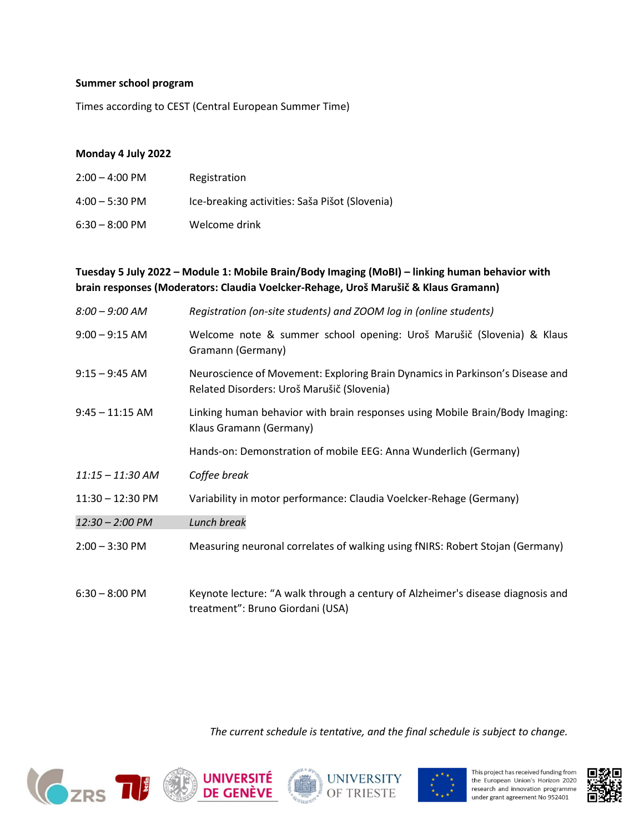#### **Summer school program**

Times according to CEST (Central European Summer Time)

### **Monday 4 July 2022**

| $2:00 - 4:00 \text{ PM}$ | Registration                                   |
|--------------------------|------------------------------------------------|
| $4:00 - 5:30 \text{ PM}$ | Ice-breaking activities: Saša Pišot (Slovenia) |
| $6:30 - 8:00 \text{ PM}$ | Welcome drink                                  |

## **Tuesday 5 July 2022 – Module 1: Mobile Brain/Body Imaging (MoBI) – linking human behavior with brain responses (Moderators: Claudia Voelcker-Rehage, Uroš Marušič & Klaus Gramann)**

| $8:00 - 9:00$ AM         | Registration (on-site students) and ZOOM log in (online students)                                                           |
|--------------------------|-----------------------------------------------------------------------------------------------------------------------------|
| $9:00 - 9:15$ AM         | Welcome note & summer school opening: Uroš Marušič (Slovenia) & Klaus<br>Gramann (Germany)                                  |
| $9:15 - 9:45$ AM         | Neuroscience of Movement: Exploring Brain Dynamics in Parkinson's Disease and<br>Related Disorders: Uroš Marušič (Slovenia) |
| $9:45 - 11:15$ AM        | Linking human behavior with brain responses using Mobile Brain/Body Imaging:<br>Klaus Gramann (Germany)                     |
|                          | Hands-on: Demonstration of mobile EEG: Anna Wunderlich (Germany)                                                            |
| $11:15 - 11:30$ AM       | Coffee break                                                                                                                |
| 11:30 - 12:30 PM         | Variability in motor performance: Claudia Voelcker-Rehage (Germany)                                                         |
| 12:30 - 2:00 PM          | Lunch break                                                                                                                 |
| $2:00 - 3:30$ PM         | Measuring neuronal correlates of walking using fNIRS: Robert Stojan (Germany)                                               |
| $6:30 - 8:00 \text{ PM}$ | Keynote lecture: "A walk through a century of Alzheimer's disease diagnosis and                                             |

treatment": Bruno Giordani (USA)

*The current schedule is tentative, and the final schedule is subject to change.*









This project has received funding from the European Union's Horizon 2020 research and innovation programme under grant agreement No 952401

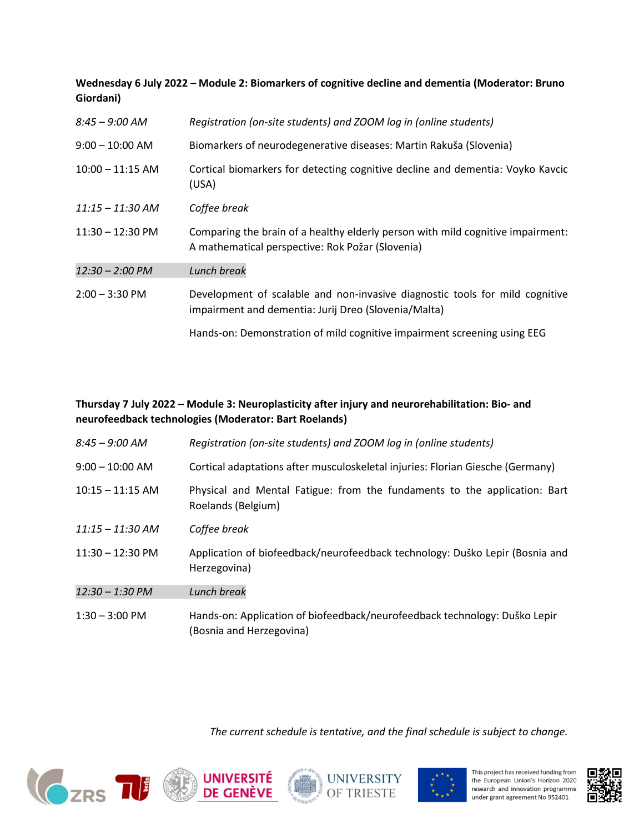# **Wednesday 6 July 2022 – Module 2: Biomarkers of cognitive decline and dementia (Moderator: Bruno Giordani)**

| $8:45 - 9:00$ AM           | Registration (on-site students) and ZOOM log in (online students)                                                                    |
|----------------------------|--------------------------------------------------------------------------------------------------------------------------------------|
| $9:00 - 10:00$ AM          | Biomarkers of neurodegenerative diseases: Martin Rakuša (Slovenia)                                                                   |
| $10:00 - 11:15$ AM         | Cortical biomarkers for detecting cognitive decline and dementia: Voyko Kavcic<br>(USA)                                              |
| $11:15 - 11:30$ AM         | Coffee break                                                                                                                         |
| $11:30 - 12:30 \text{ PM}$ | Comparing the brain of a healthy elderly person with mild cognitive impairment:<br>A mathematical perspective: Rok Požar (Slovenia)  |
| 12:30 - 2:00 PM            | Lunch break                                                                                                                          |
| $2:00 - 3:30$ PM           | Development of scalable and non-invasive diagnostic tools for mild cognitive<br>impairment and dementia: Jurij Dreo (Slovenia/Malta) |
|                            | Hands-on: Demonstration of mild cognitive impairment screening using EEG                                                             |

## **Thursday 7 July 2022 – Module 3: Neuroplasticity after injury and neurorehabilitation: Bio- and neurofeedback technologies (Moderator: Bart Roelands)**

| $8:45 - 9:00$ AM           | Registration (on-site students) and ZOOM log in (online students)                                      |
|----------------------------|--------------------------------------------------------------------------------------------------------|
| $9:00 - 10:00$ AM          | Cortical adaptations after musculoskeletal injuries: Florian Giesche (Germany)                         |
| $10:15 - 11:15$ AM         | Physical and Mental Fatigue: from the fundaments to the application: Bart<br>Roelands (Belgium)        |
| $11:15 - 11:30$ AM         | Coffee break                                                                                           |
| $11:30 - 12:30 \text{ PM}$ | Application of biofeedback/neurofeedback technology: Duško Lepir (Bosnia and<br>Herzegovina)           |
| 12:30 - 1:30 PM            | Lunch break                                                                                            |
| $1:30 - 3:00 \text{ PM}$   | Hands-on: Application of biofeedback/neurofeedback technology: Duško Lepir<br>(Bosnia and Herzegovina) |

*The current schedule is tentative, and the final schedule is subject to change.*









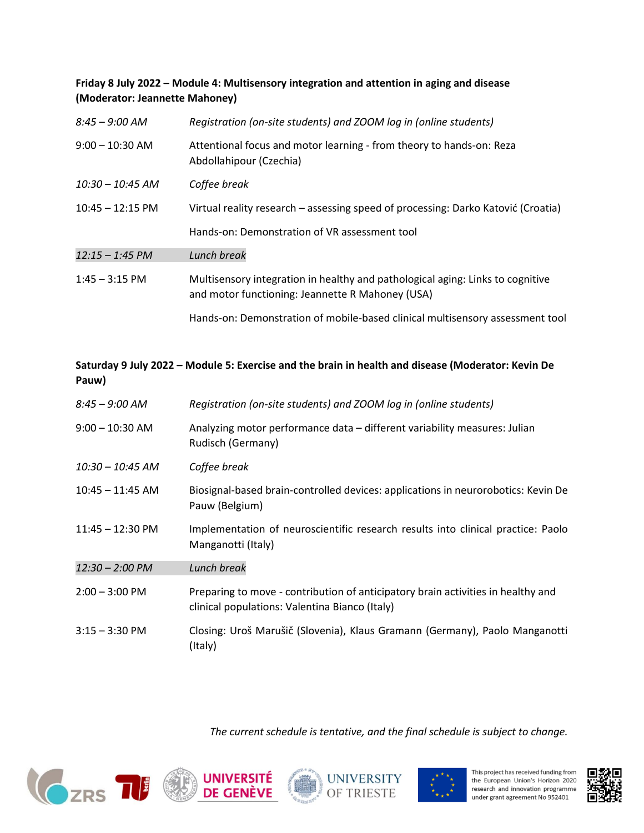# **Friday 8 July 2022 – Module 4: Multisensory integration and attention in aging and disease (Moderator: Jeannette Mahoney)**

| $8:45 - 9:00$ AM           | Registration (on-site students) and ZOOM log in (online students)                                                                  |
|----------------------------|------------------------------------------------------------------------------------------------------------------------------------|
| $9:00 - 10:30$ AM          | Attentional focus and motor learning - from theory to hands-on: Reza<br>Abdollahipour (Czechia)                                    |
| $10:30 - 10:45$ AM         | Coffee break                                                                                                                       |
| $10:45 - 12:15 \text{ PM}$ | Virtual reality research – assessing speed of processing: Darko Katović (Croatia)                                                  |
|                            | Hands-on: Demonstration of VR assessment tool                                                                                      |
| $12:15 - 1:45$ PM          | Lunch break                                                                                                                        |
| $1:45 - 3:15$ PM           | Multisensory integration in healthy and pathological aging: Links to cognitive<br>and motor functioning: Jeannette R Mahoney (USA) |
|                            | Hands-on: Demonstration of mobile-based clinical multisensory assessment tool                                                      |

# **Saturday 9 July 2022 – Module 5: Exercise and the brain in health and disease (Moderator: Kevin De Pauw)**

| $8:45 - 9:00$ AM           | Registration (on-site students) and ZOOM log in (online students)                                                                  |
|----------------------------|------------------------------------------------------------------------------------------------------------------------------------|
| $9:00 - 10:30$ AM          | Analyzing motor performance data – different variability measures: Julian<br>Rudisch (Germany)                                     |
| $10:30 - 10:45$ AM         | Coffee break                                                                                                                       |
| $10:45 - 11:45$ AM         | Biosignal-based brain-controlled devices: applications in neurorobotics: Kevin De<br>Pauw (Belgium)                                |
| $11:45 - 12:30 \text{ PM}$ | Implementation of neuroscientific research results into clinical practice: Paolo<br>Manganotti (Italy)                             |
| 12:30 - 2:00 PM            | Lunch break                                                                                                                        |
| $2:00 - 3:00 \text{ PM}$   | Preparing to move - contribution of anticipatory brain activities in healthy and<br>clinical populations: Valentina Bianco (Italy) |
| $3:15 - 3:30$ PM           | Closing: Uroš Marušič (Slovenia), Klaus Gramann (Germany), Paolo Manganotti<br>(Italy)                                             |

*The current schedule is tentative, and the final schedule is subject to change.*